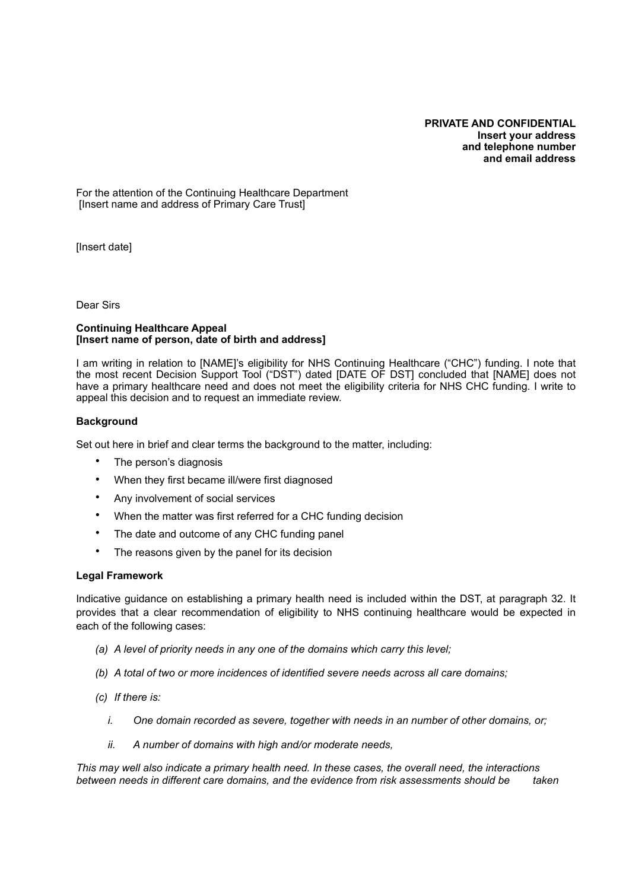#### **PRIVATE AND CONFIDENTIAL Insert your address and telephone number and email address**

For the attention of the Continuing Healthcare Department [Insert name and address of Primary Care Trust]

[Insert date]

Dear Sirs

#### **Continuing Healthcare Appeal [Insert name of person, date of birth and address]**

I am writing in relation to [NAME]'s eligibility for NHS Continuing Healthcare ("CHC") funding. I note that the most recent Decision Support Tool ("DST") dated [DATE OF DST] concluded that [NAME] does not have a primary healthcare need and does not meet the eligibility criteria for NHS CHC funding. I write to appeal this decision and to request an immediate review.

#### **Background**

Set out here in brief and clear terms the background to the matter, including:

- The person's diagnosis
- When they first became ill/were first diagnosed
- Any involvement of social services
- When the matter was first referred for a CHC funding decision
- The date and outcome of any CHC funding panel
- The reasons given by the panel for its decision

#### **Legal Framework**

Indicative guidance on establishing a primary health need is included within the DST, at paragraph 32. It provides that a clear recommendation of eligibility to NHS continuing healthcare would be expected in each of the following cases:

- *(a) A level of priority needs in any one of the domains which carry this level;*
- *(b) A total of two or more incidences of identified severe needs across all care domains;*
- *(c) If there is:* 
	- *i. One domain recorded as severe, together with needs in an number of other domains, or;*
	- *ii. A number of domains with high and/or moderate needs,*

*This may well also indicate a primary health need. In these cases, the overall need, the interactions between needs in different care domains, and the evidence from risk assessments should be taken*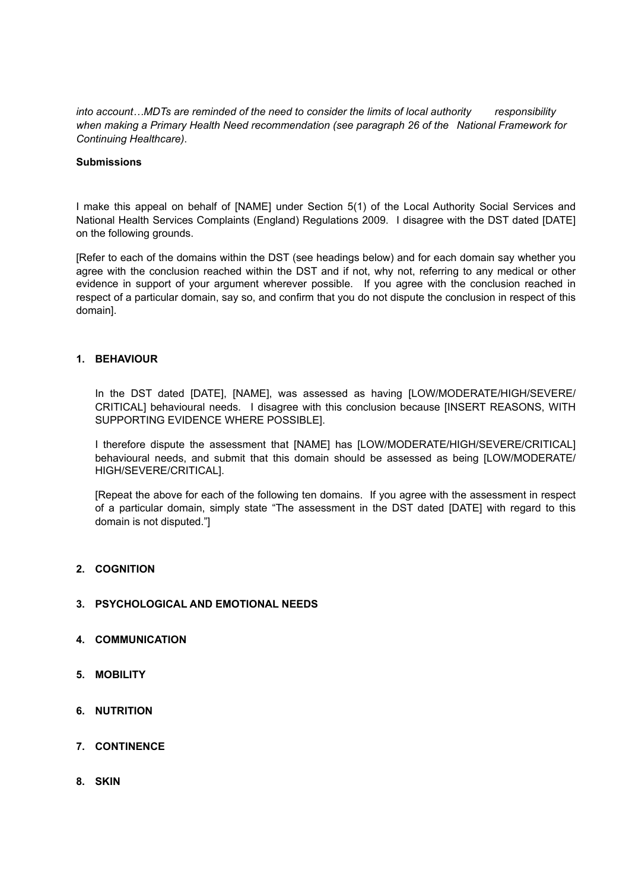*into account…MDTs are reminded of the need to consider the limits of local authority responsibility when making a Primary Health Need recommendation (see paragraph 26 of the National Framework for Continuing Healthcare)*.

#### **Submissions**

I make this appeal on behalf of [NAME] under Section 5(1) of the Local Authority Social Services and National Health Services Complaints (England) Regulations 2009. I disagree with the DST dated [DATE] on the following grounds.

[Refer to each of the domains within the DST (see headings below) and for each domain say whether you agree with the conclusion reached within the DST and if not, why not, referring to any medical or other evidence in support of your argument wherever possible. If you agree with the conclusion reached in respect of a particular domain, say so, and confirm that you do not dispute the conclusion in respect of this domain].

### **1. BEHAVIOUR**

In the DST dated [DATE], [NAME], was assessed as having [LOW/MODERATE/HIGH/SEVERE/ CRITICAL] behavioural needs. I disagree with this conclusion because [INSERT REASONS, WITH SUPPORTING EVIDENCE WHERE POSSIBLE].

I therefore dispute the assessment that [NAME] has [LOW/MODERATE/HIGH/SEVERE/CRITICAL] behavioural needs, and submit that this domain should be assessed as being [LOW/MODERATE/ HIGH/SEVERE/CRITICAL].

[Repeat the above for each of the following ten domains. If you agree with the assessment in respect of a particular domain, simply state "The assessment in the DST dated [DATE] with regard to this domain is not disputed."]

### **2. COGNITION**

### **3. PSYCHOLOGICAL AND EMOTIONAL NEEDS**

- **4. COMMUNICATION**
- **5. MOBILITY**
- **6. NUTRITION**
- **7. CONTINENCE**
- **8. SKIN**